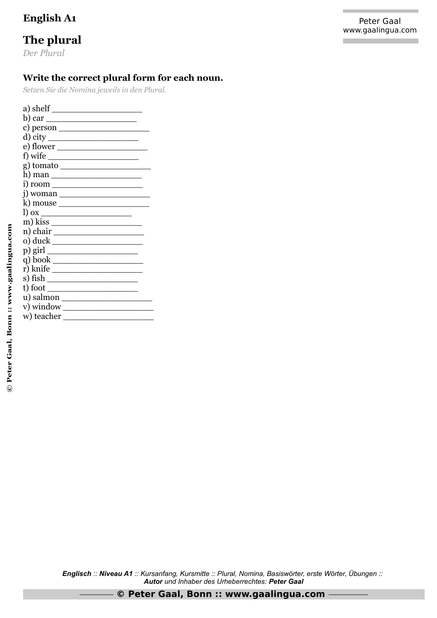## The plural

Der Plural

## Write the correct plural form for each noun.

Setzen Sie die Nomina jeweils in den Plural.

| a) shelf $\qquad \qquad$                                                                                                                                                                                                                                                                                                                                                                                                                                                                          |
|---------------------------------------------------------------------------------------------------------------------------------------------------------------------------------------------------------------------------------------------------------------------------------------------------------------------------------------------------------------------------------------------------------------------------------------------------------------------------------------------------|
|                                                                                                                                                                                                                                                                                                                                                                                                                                                                                                   |
| c) person $\_\_$                                                                                                                                                                                                                                                                                                                                                                                                                                                                                  |
| d) city                                                                                                                                                                                                                                                                                                                                                                                                                                                                                           |
| e) flower                                                                                                                                                                                                                                                                                                                                                                                                                                                                                         |
| f) wife $\qquad$                                                                                                                                                                                                                                                                                                                                                                                                                                                                                  |
|                                                                                                                                                                                                                                                                                                                                                                                                                                                                                                   |
|                                                                                                                                                                                                                                                                                                                                                                                                                                                                                                   |
|                                                                                                                                                                                                                                                                                                                                                                                                                                                                                                   |
| i) woman $\frac{1}{\sqrt{1-\frac{1}{2}}\left\lceil \frac{1}{2}\right\rceil \arctan\left\lceil \frac{1}{2}\right\rceil \arctan\left\lceil \frac{1}{2}\right\rceil \arctan\left\lceil \frac{1}{2}\right\rceil \arctan\left\lceil \frac{1}{2}\right\rceil \arctan\left\lceil \frac{1}{2}\right\rceil \arctan\left\lceil \frac{1}{2}\right\rceil \arctan\left\lceil \frac{1}{2}\right\rceil \arctan\left\lceil \frac{1}{2}\right\rceil \arctan\left\lceil \frac{1}{2}\right\rceil \arctan\left\lceil$ |
| k) mouse _______________________                                                                                                                                                                                                                                                                                                                                                                                                                                                                  |
|                                                                                                                                                                                                                                                                                                                                                                                                                                                                                                   |
| m) kiss $\frac{1}{\sqrt{1-\frac{1}{2}}\left\lceil \frac{1}{2}\right\rceil}$                                                                                                                                                                                                                                                                                                                                                                                                                       |
| n) chair $\overline{\qquad \qquad }$                                                                                                                                                                                                                                                                                                                                                                                                                                                              |
|                                                                                                                                                                                                                                                                                                                                                                                                                                                                                                   |
|                                                                                                                                                                                                                                                                                                                                                                                                                                                                                                   |
|                                                                                                                                                                                                                                                                                                                                                                                                                                                                                                   |
|                                                                                                                                                                                                                                                                                                                                                                                                                                                                                                   |
|                                                                                                                                                                                                                                                                                                                                                                                                                                                                                                   |
|                                                                                                                                                                                                                                                                                                                                                                                                                                                                                                   |
|                                                                                                                                                                                                                                                                                                                                                                                                                                                                                                   |
| v) window $\sqrt{\frac{1}{1-\frac{1}{2}}$                                                                                                                                                                                                                                                                                                                                                                                                                                                         |
|                                                                                                                                                                                                                                                                                                                                                                                                                                                                                                   |

Englisch :: Niveau A1 :: Kursanfang, Kursmitte :: Plural, Nomina, Basiswörter, erste Wörter, Übungen :: Autor und Inhaber des Urheberrechtes: Peter Gaal